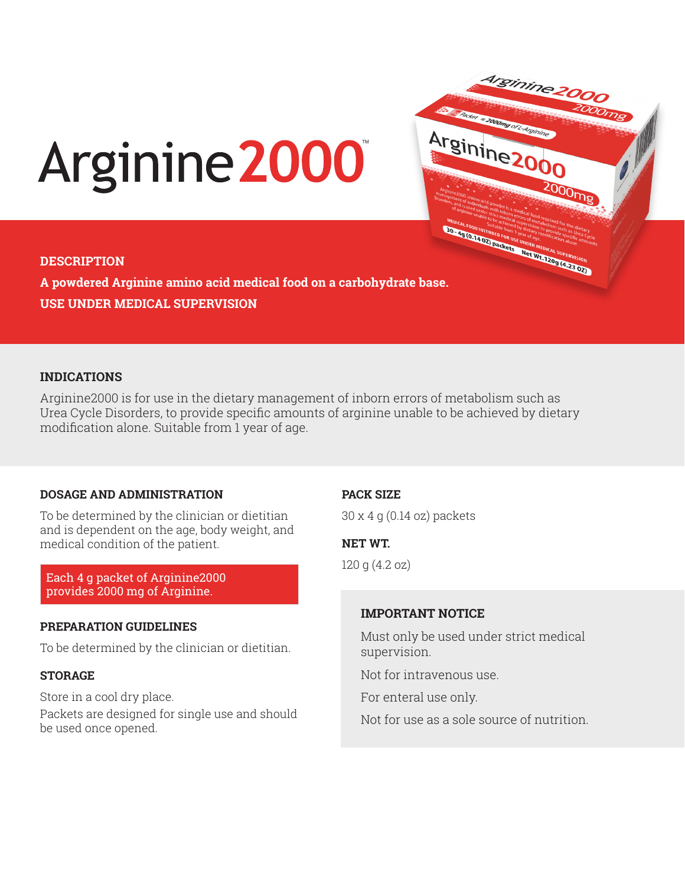# Arginine 2000



### **DESCRIPTION**

**USE UNDER MEDICAL SUPERVISION**

# **INDICATIONS**

Arginine2000 is for use in the dietary management of inborn errors of metabolism such as Urea Cycle Disorders, to provide specific amounts of arginine unable to be achieved by dietary modification alone. Suitable from 1 year of age.

# **DOSAGE AND ADMINISTRATION**

To be determined by the clinician or dietitian and is dependent on the age, body weight, and medical condition of the patient.

Each 4 g packet of Arginine2000 provides 2000 mg of Arginine.

# **PREPARATION GUIDELINES**

To be determined by the clinician or dietitian.

# **STORAGE**

Store in a cool dry place. Packets are designed for single use and should be used once opened.

### **PACK SIZE**

30 x 4 g (0.14 oz) packets

### **NET WT.**

120 g (4.2 oz)

# **IMPORTANT NOTICE**

Must only be used under strict medical supervision.

Not for intravenous use.

For enteral use only.

Not for use as a sole source of nutrition.